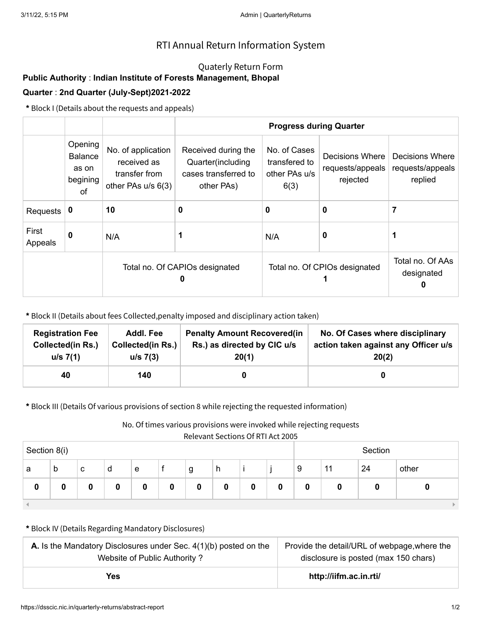# RTI Annual Return Information System

### Quaterly Return Form

# **Public Authority** : **Indian Institute of Forests Management, Bhopal**

## **Quarter** : **2nd Quarter (July-Sept)2021-2022**

**\*** Block I (Details about the requests and appeals)

|                  | Opening<br><b>Balance</b><br>as on<br>begining<br>of | No. of application<br>received as<br>transfer from<br>other PAs u/s 6(3) | Received during the<br>Quarter(including<br>cases transferred to<br>other PAs) | No. of Cases<br>transfered to<br>other PAs u/s<br>6(3) | Decisions Where<br>requests/appeals<br>rejected | Decisions Where<br>requests/appeals<br>replied |
|------------------|------------------------------------------------------|--------------------------------------------------------------------------|--------------------------------------------------------------------------------|--------------------------------------------------------|-------------------------------------------------|------------------------------------------------|
| Requests         | 0                                                    | 10                                                                       | 0                                                                              | 0                                                      | 0                                               | 7                                              |
| First<br>Appeals | 0                                                    | N/A                                                                      |                                                                                | N/A                                                    | 0                                               |                                                |
|                  |                                                      |                                                                          | Total no. Of CAPIOs designated                                                 | Total no. Of CPIOs designated                          | Total no. Of AAs<br>designated<br>0             |                                                |

**\*** Block II (Details about fees Collected,penalty imposed and disciplinary action taken)

| <b>Registration Fee</b> | <b>Addl. Fee</b>         | <b>Penalty Amount Recovered (in</b> | No. Of Cases where disciplinary      |
|-------------------------|--------------------------|-------------------------------------|--------------------------------------|
| Collected(in Rs.)       | <b>Collected(in Rs.)</b> | Rs.) as directed by CIC u/s         | action taken against any Officer u/s |
| $u/s \ 7(1)$            | $u/s$ 7(3)               | 20(1)                               | 20(2)                                |
| 40                      | 140                      |                                     |                                      |

**\*** Block III (Details Of various provisions of section 8 while rejecting the requested information)

#### No. Of times various provisions were invoked while rejecting requests

Relevant Sections Of RTI Act 2005

| Section 8(i) |   |   |   |   |   |   |   |   | Section |             |    |    |       |
|--------------|---|---|---|---|---|---|---|---|---------|-------------|----|----|-------|
| a            | b | с | d | e |   | g | h |   |         | 9           | 11 | 24 | other |
| 0            |   |   | 0 |   | 0 | 0 | 0 | 0 | 0       | $\mathbf 0$ | 0  |    |       |
|              |   |   |   |   |   |   |   |   |         |             |    |    |       |

#### **\*** Block IV (Details Regarding Mandatory Disclosures)

| <b>A.</b> Is the Mandatory Disclosures under Sec. $4(1)(b)$ posted on the | Provide the detail/URL of webpage, where the |  |  |
|---------------------------------------------------------------------------|----------------------------------------------|--|--|
| Website of Public Authority?                                              | disclosure is posted (max 150 chars)         |  |  |
| Yes                                                                       | http://iifm.ac.in.rti/                       |  |  |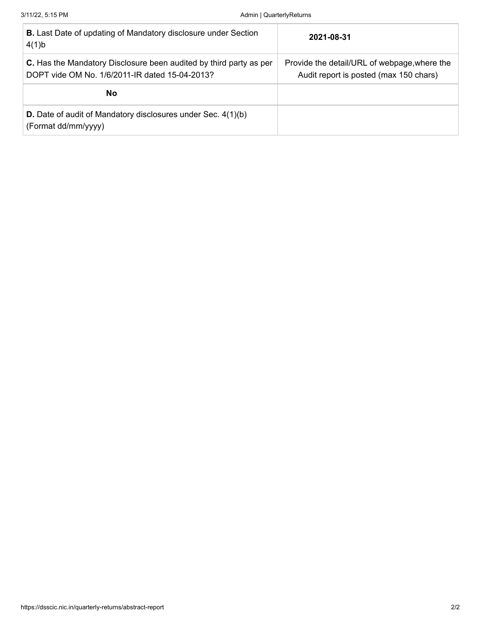| <b>B.</b> Last Date of updating of Mandatory disclosure under Section<br>4(1)b                                       | 2021-08-31                                                                             |
|----------------------------------------------------------------------------------------------------------------------|----------------------------------------------------------------------------------------|
| C. Has the Mandatory Disclosure been audited by third party as per<br>DOPT vide OM No. 1/6/2011-IR dated 15-04-2013? | Provide the detail/URL of webpage, where the<br>Audit report is posted (max 150 chars) |
| No                                                                                                                   |                                                                                        |
| <b>D.</b> Date of audit of Mandatory disclosures under Sec. 4(1)(b)<br>(Format dd/mm/yyyy)                           |                                                                                        |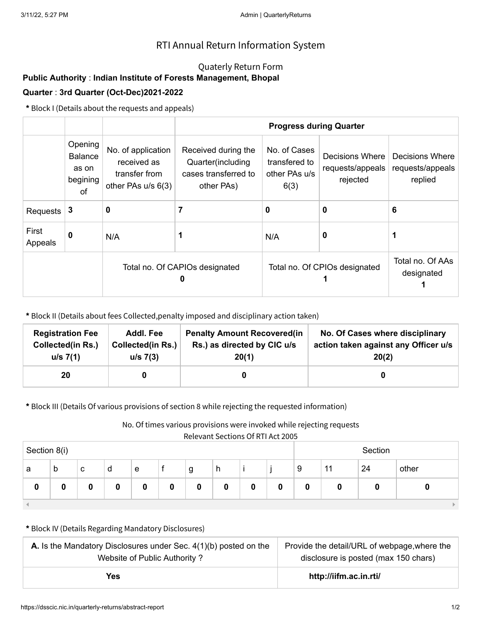# RTI Annual Return Information System

### Quaterly Return Form

# **Public Authority** : **Indian Institute of Forests Management, Bhopal**

### **Quarter** : **3rd Quarter (Oct-Dec)2021-2022**

**\*** Block I (Details about the requests and appeals)

|                  |                                                      |                                                                          |                                                                                | <b>Progress during Quarter</b>                         |                                                 |                                                |
|------------------|------------------------------------------------------|--------------------------------------------------------------------------|--------------------------------------------------------------------------------|--------------------------------------------------------|-------------------------------------------------|------------------------------------------------|
|                  | Opening<br><b>Balance</b><br>as on<br>begining<br>0f | No. of application<br>received as<br>transfer from<br>other PAs u/s 6(3) | Received during the<br>Quarter(including<br>cases transferred to<br>other PAs) | No. of Cases<br>transfered to<br>other PAs u/s<br>6(3) | Decisions Where<br>requests/appeals<br>rejected | Decisions Where<br>requests/appeals<br>replied |
| Requests         | 3                                                    | 0                                                                        |                                                                                | 0                                                      | 0                                               | 6                                              |
| First<br>Appeals | 0                                                    | N/A                                                                      |                                                                                | N/A                                                    | 0                                               |                                                |
|                  |                                                      |                                                                          | Total no. Of CAPIOs designated                                                 | Total no. Of CPIOs designated                          | Total no. Of AAs<br>designated                  |                                                |

**\*** Block II (Details about fees Collected,penalty imposed and disciplinary action taken)

| <b>Registration Fee</b>  | Addl. Fee                | <b>Penalty Amount Recovered (in</b> | No. Of Cases where disciplinary      |
|--------------------------|--------------------------|-------------------------------------|--------------------------------------|
| <b>Collected(in Rs.)</b> | <b>Collected(in Rs.)</b> | Rs.) as directed by CIC u/s         | action taken against any Officer u/s |
| u/s 7(1)                 | $u/s$ 7(3)               | 20(1)                               | 20(2)                                |
| 20                       |                          |                                     |                                      |

**\*** Block III (Details Of various provisions of section 8 while rejecting the requested information)

No. Of times various provisions were invoked while rejecting requests

Relevant Sections Of RTI Act 2005

|              |   |   |   |   |   |   | . . <del>.</del> |   | _ _     |   |    |    |       |
|--------------|---|---|---|---|---|---|------------------|---|---------|---|----|----|-------|
| Section 8(i) |   |   |   |   |   |   |                  |   | Section |   |    |    |       |
| a            | b | с | d | e |   | g | h                |   |         | 9 | 11 | 24 | other |
| 0            | 0 | O | 0 | 0 | 0 | 0 | 0                | 0 | 0       | 0 |    |    |       |
|              |   |   |   |   |   |   |                  |   |         |   |    |    |       |

**\*** Block IV (Details Regarding Mandatory Disclosures)

| <b>A.</b> Is the Mandatory Disclosures under Sec. $4(1)(b)$ posted on the | Provide the detail/URL of webpage, where the |  |  |
|---------------------------------------------------------------------------|----------------------------------------------|--|--|
| Website of Public Authority?                                              | disclosure is posted (max 150 chars)         |  |  |
| Yes                                                                       | http://iifm.ac.in.rti/                       |  |  |